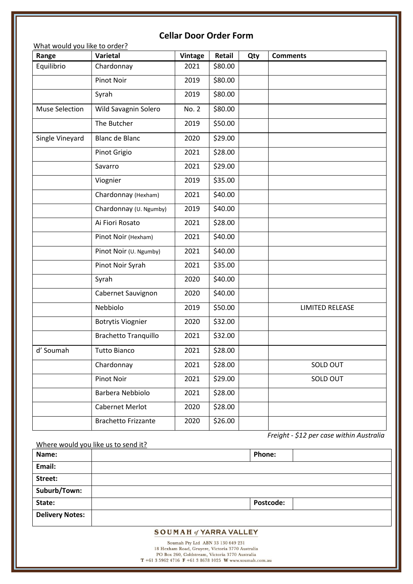| Range           | Varietal                    | <b>Vintage</b> | Retail  | Qty | <b>Comments</b>        |
|-----------------|-----------------------------|----------------|---------|-----|------------------------|
| Equilibrio      | Chardonnay                  | 2021           | \$80.00 |     |                        |
|                 | Pinot Noir                  | 2019           | \$80.00 |     |                        |
|                 | Syrah                       | 2019           | \$80.00 |     |                        |
| Muse Selection  | Wild Savagnin Solero        | No. 2          | \$80.00 |     |                        |
|                 | The Butcher                 | 2019           | \$50.00 |     |                        |
| Single Vineyard | <b>Blanc de Blanc</b>       | 2020           | \$29.00 |     |                        |
|                 | Pinot Grigio                | 2021           | \$28.00 |     |                        |
|                 | Savarro                     | 2021           | \$29.00 |     |                        |
|                 | Viognier                    | 2019           | \$35.00 |     |                        |
|                 | Chardonnay (Hexham)         | 2021           | \$40.00 |     |                        |
|                 | Chardonnay (U. Ngumby)      | 2019           | \$40.00 |     |                        |
|                 | Ai Fiori Rosato             | 2021           | \$28.00 |     |                        |
|                 | Pinot Noir (Hexham)         | 2021           | \$40.00 |     |                        |
|                 | Pinot Noir (U. Ngumby)      | 2021           | \$40.00 |     |                        |
|                 | Pinot Noir Syrah            | 2021           | \$35.00 |     |                        |
|                 | Syrah                       | 2020           | \$40.00 |     |                        |
|                 | Cabernet Sauvignon          | 2020           | \$40.00 |     |                        |
|                 | Nebbiolo                    | 2019           | \$50.00 |     | <b>LIMITED RELEASE</b> |
|                 | <b>Botrytis Viognier</b>    | 2020           | \$32.00 |     |                        |
|                 | <b>Brachetto Tranquillo</b> | 2021           | \$32.00 |     |                        |
| d' Soumah       | <b>Tutto Bianco</b>         | 2021           | \$28.00 |     |                        |
|                 | Chardonnay                  | 2021           | \$28.00 |     | SOLD OUT               |
|                 | Pinot Noir                  | 2021           | \$29.00 |     | SOLD OUT               |
|                 | Barbera Nebbiolo            | 2021           | \$28.00 |     |                        |
|                 | Cabernet Merlot             | 2020           | \$28.00 |     |                        |
|                 | <b>Brachetto Frizzante</b>  | 2020           | \$26.00 |     |                        |

#### Where would you like us to send it?

| Name:                  | <b>Phone:</b>    |
|------------------------|------------------|
| Email:                 |                  |
| Street:                |                  |
| Suburb/Town:           |                  |
| State:                 | <b>Postcode:</b> |
| <b>Delivery Notes:</b> |                  |

### **SOUMAH of YARRA VALLEY**

Soumah Pty Ltd ABN 33 130 649 231 18 Hexham Road, Gruyere, Victoria 3770 Australia<br>PO Box 260, Coldstream, Victoria 3770 Australia T +61 3 5962 4716  $\bf{F}$  +61 3 8678 1025 W www.soumah.com.au